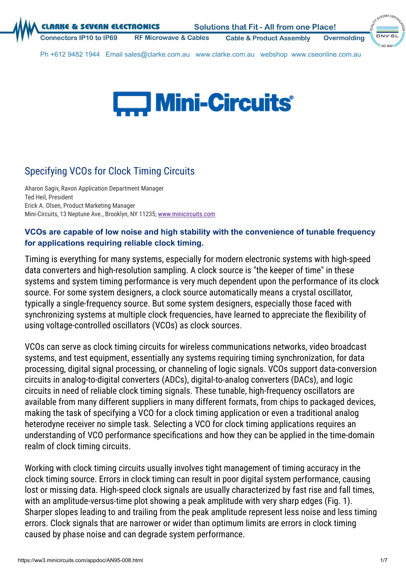**VERN ELECTRONICS** 

**Cable & Product Assembly Overmolding** 

SYSTEM CEA  $DNV·G$ 

Ph +612 9482 1944 Email sales@clarke.com.au www.clarke.com.au webshop www.cseonline.com.au

**Microwave & Cables** 



# Specifying VCOs for Clock Timing Circuits

Aharon Sagiv, Ravon Application Department Manager Ted Heil, President Erick A. Olsen, Product Marketing Manager Mini-Circuits, 13 Neptune Ave., Brooklyn, NY 11235; [www.minicircuits.com](https://www.minicircuits.com/)

## **VCOs are capable of low noise and high stability with the convenience of tunable frequency for applications requiring reliable clock timing.**

Timing is everything for many systems, especially for modern electronic systems with high-speed data converters and high-resolution sampling. A clock source is "the keeper of time" in these systems and system timing performance is very much dependent upon the performance of its clock source. For some system designers, a clock source automatically means a crystal oscillator, typically a single-frequency source. But some system designers, especially those faced with synchronizing systems at multiple clock frequencies, have learned to appreciate the flexibility of using voltage-controlled oscillators (VCOs) as clock sources.

VCOs can serve as clock timing circuits for wireless communications networks, video broadcast systems, and test equipment, essentially any systems requiring timing synchronization, for data processing, digital signal processing, or channeling of logic signals. VCOs support data-conversion circuits in analog-to-digital converters (ADCs), digital-to-analog converters (DACs), and logic circuits in need of reliable clock timing signals. These tunable, high-frequency oscillators are available from many different suppliers in many different formats, from chips to packaged devices, making the task of specifying a VCO for a clock timing application or even a traditional analog heterodyne receiver no simple task. Selecting a VCO for clock timing applications requires an understanding of VCO performance specifications and how they can be applied in the time-domain realm of clock timing circuits.

Working with clock timing circuits usually involves tight management of timing accuracy in the clock timing source. Errors in clock timing can result in poor digital system performance, causing lost or missing data. High-speed clock signals are usually characterized by fast rise and fall times, with an amplitude-versus-time plot showing a peak amplitude with very sharp edges (Fig. 1). Sharper slopes leading to and trailing from the peak amplitude represent less noise and less timing errors. Clock signals that are narrower or wider than optimum limits are errors in clock timing caused by phase noise and can degrade system performance.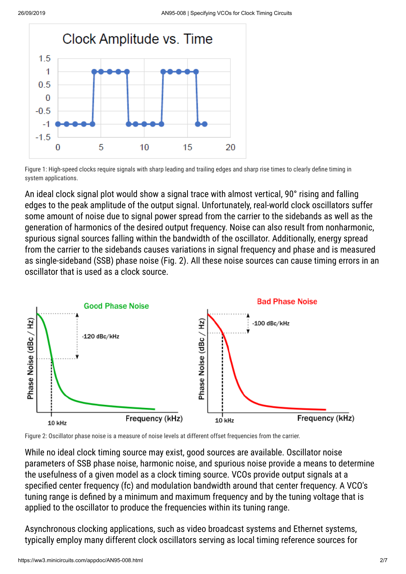

Figure 1: High-speed clocks require signals with sharp leading and trailing edges and sharp rise times to clearly define timing in system applications.

An ideal clock signal plot would show a signal trace with almost vertical, 90° rising and falling edges to the peak amplitude of the output signal. Unfortunately, real-world clock oscillators suffer some amount of noise due to signal power spread from the carrier to the sidebands as well as the generation of harmonics of the desired output frequency. Noise can also result from nonharmonic, spurious signal sources falling within the bandwidth of the oscillator. Additionally, energy spread from the carrier to the sidebands causes variations in signal frequency and phase and is measured as single-sideband (SSB) phase noise (Fig. 2). All these noise sources can cause timing errors in an oscillator that is used as a clock source.



Figure 2: Oscillator phase noise is a measure of noise levels at different offset frequencies from the carrier.

While no ideal clock timing source may exist, good sources are available. Oscillator noise parameters of SSB phase noise, harmonic noise, and spurious noise provide a means to determine the usefulness of a given model as a clock timing source. VCOs provide output signals at a specified center frequency (fc) and modulation bandwidth around that center frequency. A VCO's tuning range is defined by a minimum and maximum frequency and by the tuning voltage that is applied to the oscillator to produce the frequencies within its tuning range.

Asynchronous clocking applications, such as video broadcast systems and Ethernet systems, typically employ many different clock oscillators serving as local timing reference sources for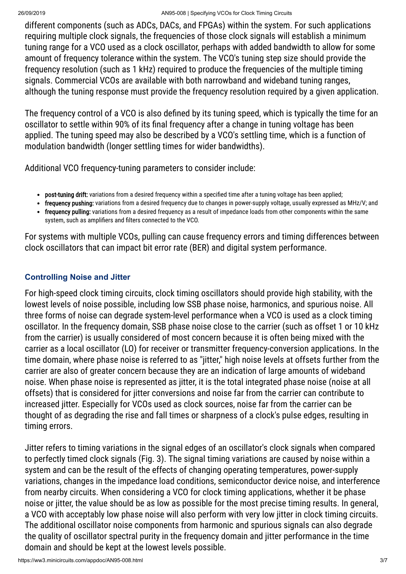#### 26/09/2019 AN95-008 | Specifying VCOs for Clock Timing Circuits

different components (such as ADCs, DACs, and FPGAs) within the system. For such applications requiring multiple clock signals, the frequencies of those clock signals will establish a minimum tuning range for a VCO used as a clock oscillator, perhaps with added bandwidth to allow for some amount of frequency tolerance within the system. The VCO's tuning step size should provide the frequency resolution (such as 1 kHz) required to produce the frequencies of the multiple timing signals. Commercial VCOs are available with both narrowband and wideband tuning ranges, although the tuning response must provide the frequency resolution required by a given application.

The frequency control of a VCO is also defined by its tuning speed, which is typically the time for an oscillator to settle within 90% of its final frequency after a change in tuning voltage has been applied. The tuning speed may also be described by a VCO's settling time, which is a function of modulation bandwidth (longer settling times for wider bandwidths).

Additional VCO frequency-tuning parameters to consider include:

- post-tuning drift: variations from a desired frequency within a specified time after a tuning voltage has been applied;
- frequency pushing: variations from a desired frequency due to changes in power-supply voltage, usually expressed as MHz/V; and
- frequency pulling: variations from a desired frequency as a result of impedance loads from other components within the same system, such as amplifiers and filters connected to the VCO.

For systems with multiple VCOs, pulling can cause frequency errors and timing differences between clock oscillators that can impact bit error rate (BER) and digital system performance.

## **Controlling Noise and Jitter**

For high-speed clock timing circuits, clock timing oscillators should provide high stability, with the lowest levels of noise possible, including low SSB phase noise, harmonics, and spurious noise. All three forms of noise can degrade system-level performance when a VCO is used as a clock timing oscillator. In the frequency domain, SSB phase noise close to the carrier (such as offset 1 or 10 kHz from the carrier) is usually considered of most concern because it is often being mixed with the carrier as a local oscillator (LO) for receiver or transmitter frequency-conversion applications. In the time domain, where phase noise is referred to as "jitter," high noise levels at offsets further from the carrier are also of greater concern because they are an indication of large amounts of wideband noise. When phase noise is represented as jitter, it is the total integrated phase noise (noise at all offsets) that is considered for jitter conversions and noise far from the carrier can contribute to increased jitter. Especially for VCOs used as clock sources, noise far from the carrier can be thought of as degrading the rise and fall times or sharpness of a clock's pulse edges, resulting in timing errors.

Jitter refers to timing variations in the signal edges of an oscillator's clock signals when compared to perfectly timed clock signals (Fig. 3). The signal timing variations are caused by noise within a system and can be the result of the effects of changing operating temperatures, power-supply variations, changes in the impedance load conditions, semiconductor device noise, and interference from nearby circuits. When considering a VCO for clock timing applications, whether it be phase noise or jitter, the value should be as low as possible for the most precise timing results. In general, a VCO with acceptably low phase noise will also perform with very low jitter in clock timing circuits. The additional oscillator noise components from harmonic and spurious signals can also degrade the quality of oscillator spectral purity in the frequency domain and jitter performance in the time domain and should be kept at the lowest levels possible.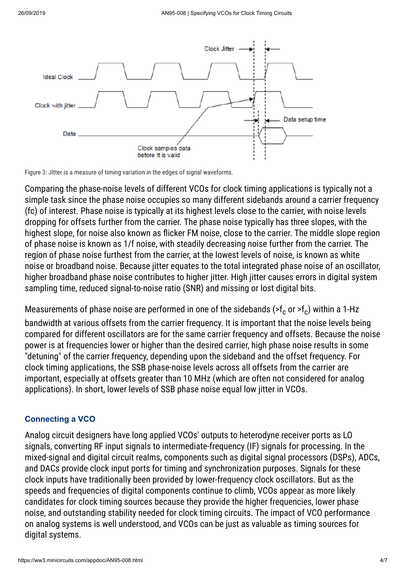

Figure 3: Jitter is a measure of timing variation in the edges of signal waveforms.

Comparing the phase-noise levels of different VCOs for clock timing applications is typically not a simple task since the phase noise occupies so many different sidebands around a carrier frequency (fc) of interest. Phase noise is typically at its highest levels close to the carrier, with noise levels dropping for offsets further from the carrier. The phase noise typically has three slopes, with the highest slope, for noise also known as flicker FM noise, close to the carrier. The middle slope region of phase noise is known as 1/f noise, with steadily decreasing noise further from the carrier. The region of phase noise furthest from the carrier, at the lowest levels of noise, is known as white noise or broadband noise. Because jitter equates to the total integrated phase noise of an oscillator, higher broadband phase noise contributes to higher jitter. High jitter causes errors in digital system sampling time, reduced signal-to-noise ratio (SNR) and missing or lost digital bits.

Measurements of phase noise are performed in one of the sidebands (>f $_{\rm c}$  or >f $_{\rm c}$ ) within a 1-Hz bandwidth at various offsets from the carrier frequency. It is important that the noise levels being compared for different oscillators are for the same carrier frequency and offsets. Because the noise power is at frequencies lower or higher than the desired carrier, high phase noise results in some "detuning" of the carrier frequency, depending upon the sideband and the offset frequency. For clock timing applications, the SSB phase-noise levels across all offsets from the carrier are important, especially at offsets greater than 10 MHz (which are often not considered for analog applications). In short, lower levels of SSB phase noise equal low jitter in VCOs.

### **Connecting a VCO**

Analog circuit designers have long applied VCOs' outputs to heterodyne receiver ports as LO signals, converting RF input signals to intermediate-frequency (IF) signals for processing. In the mixed-signal and digital circuit realms, components such as digital signal processors (DSPs), ADCs, and DACs provide clock input ports for timing and synchronization purposes. Signals for these clock inputs have traditionally been provided by lower-frequency clock oscillators. But as the speeds and frequencies of digital components continue to climb, VCOs appear as more likely candidates for clock timing sources because they provide the higher frequencies, lower phase noise, and outstanding stability needed for clock timing circuits. The impact of VCO performance on analog systems is well understood, and VCOs can be just as valuable as timing sources for digital systems.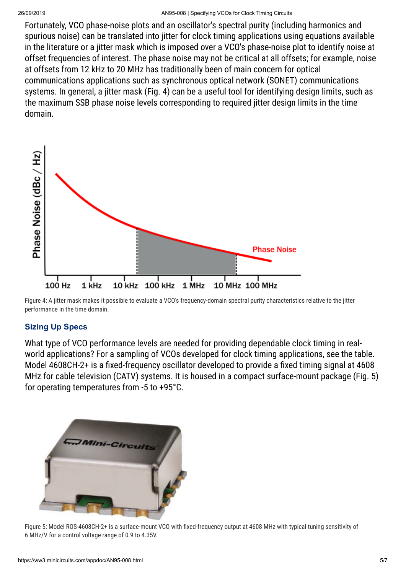Fortunately, VCO phase-noise plots and an oscillator's spectral purity (including harmonics and spurious noise) can be translated into jitter for clock timing applications using equations available in the literature or a jitter mask which is imposed over a VCO's phase-noise plot to identify noise at offset frequencies of interest. The phase noise may not be critical at all offsets; for example, noise at offsets from 12 kHz to 20 MHz has traditionally been of main concern for optical communications applications such as synchronous optical network (SONET) communications systems. In general, a jitter mask (Fig. 4) can be a useful tool for identifying design limits, such as the maximum SSB phase noise levels corresponding to required jitter design limits in the time domain.



Figure 4: A jitter mask makes it possible to evaluate a VCO's frequency-domain spectral purity characteristics relative to the jitter performance in the time domain.

## **Sizing Up Specs**

What type of VCO performance levels are needed for providing dependable clock timing in realworld applications? For a sampling of VCOs developed for clock timing applications, see the table. Model 4608CH-2+ is a fixed-frequency oscillator developed to provide a fixed timing signal at 4608 MHz for cable television (CATV) systems. It is housed in a compact surface-mount package (Fig. 5) for operating temperatures from -5 to +95°C.



Figure 5: Model ROS-4608CH-2+ is a surface-mount VCO with fixed-frequency output at 4608 MHz with typical tuning sensitivity of 6 MHz/V for a control voltage range of 0.9 to 4.35V.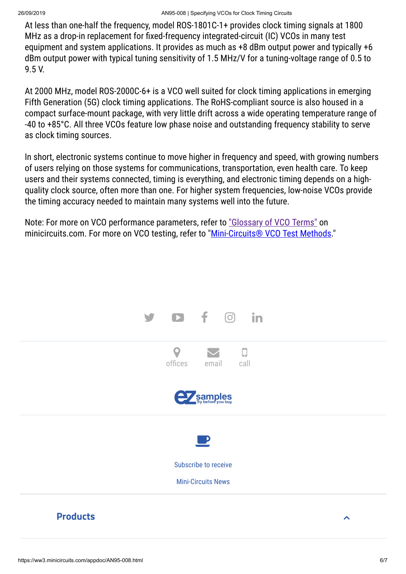At less than one-half the frequency, model ROS-1801C-1+ provides clock timing signals at 1800 MHz as a drop-in replacement for fixed-frequency integrated-circuit (IC) VCOs in many test equipment and system applications. It provides as much as +8 dBm output power and typically +6 dBm output power with typical tuning sensitivity of 1.5 MHz/V for a tuning-voltage range of 0.5 to 9.5 V.

At 2000 MHz, model ROS-2000C-6+ is a VCO well suited for clock timing applications in emerging Fifth Generation (5G) clock timing applications. The RoHS-compliant source is also housed in a compact surface-mount package, with very little drift across a wide operating temperature range of -40 to +85°C. All three VCOs feature low phase noise and outstanding frequency stability to serve as clock timing sources.

In short, electronic systems continue to move higher in frequency and speed, with growing numbers of users relying on those systems for communications, transportation, even health care. To keep users and their systems connected, timing is everything, and electronic timing depends on a highquality clock source, often more than one. For higher system frequencies, low-noise VCOs provide the timing accuracy needed to maintain many systems well into the future.

Note: For more on VCO performance parameters, refer to ["Glossary of VCO Terms"](https://ww3.minicircuits.com/appdoc/AN95-003.html) on minicircuits.com. For more on VCO testing, refer to ["Mini-Circuits® VCO Test Methods](https://ww3.minicircuits.com/appdoc/VCO15-15.html)."